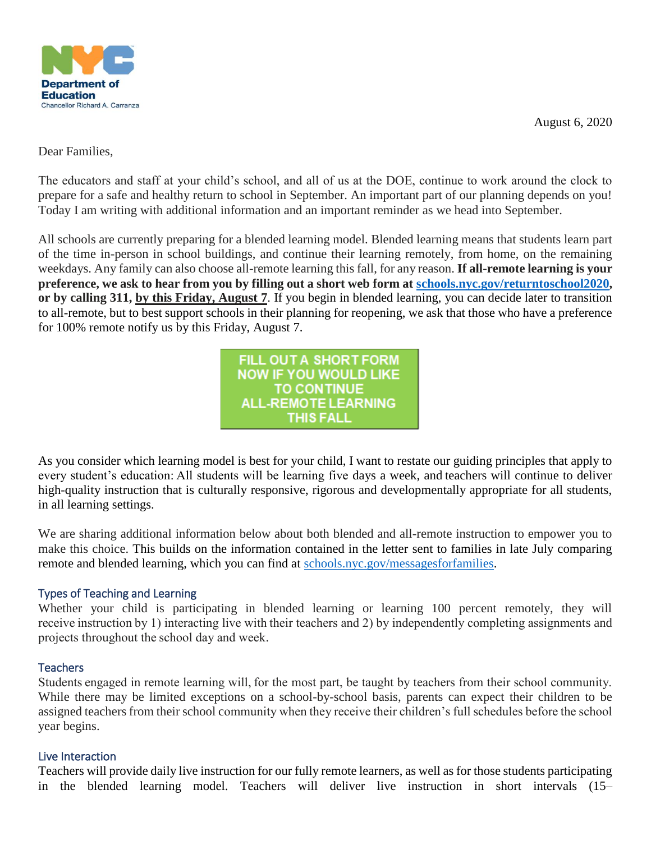

August 6, 2020

Dear Families,

The educators and staff at your child's school, and all of us at the DOE, continue to work around the clock to prepare for a safe and healthy return to school in September. An important part of our planning depends on you! Today I am writing with additional information and an important reminder as we head into September.

All schools are currently preparing for a blended learning model. Blended learning means that students learn part of the time in-person in school buildings, and continue their learning remotely, from home, on the remaining weekdays. Any family can also choose all-remote learning this fall, for any reason. **If all-remote learning is your preference, we ask to hear from you by filling out a short web form at [schools.nyc.gov/returntoschool2020,](https://www.schools.nyc.gov/school-year-20-21/return-to-school-2020/health-and-safety) or by calling 311, by this Friday, August 7**. If you begin in blended learning, you can decide later to transition to all-remote, but to best support schools in their planning for reopening, we ask that those who have a preference for 100% remote notify us by this Friday, August 7.

> FILL OUT A SHORT FORM **NOW IF YOU WOULD LIKE TO CONTINUE ALL-REMOTE LEARNING** THIS FALL

As you consider which learning model is best for your child, I want to restate our guiding principles that apply to every student's education: All students will be learning five days a week, and teachers will continue to deliver high-quality instruction that is culturally responsive, rigorous and developmentally appropriate for all students, in all learning settings.

We are sharing additional information below about both blended and all-remote instruction to empower you to make this choice. This builds on the information contained in the letter sent to families in late July comparing remote and blended learning, which you can find at [schools.nyc.gov/messagesforfamilies.](https://www.schools.nyc.gov/about-us/news/chancellor-s-message-for-families)

# Types of Teaching and Learning

Whether your child is participating in blended learning or learning 100 percent remotely, they will receive instruction by 1) interacting live with their teachers and 2) by independently completing assignments and projects throughout the school day and week.

# **Teachers**

Students engaged in remote learning will, for the most part, be taught by teachers from their school community. While there may be limited exceptions on a school-by-school basis, parents can expect their children to be assigned teachers from their school community when they receive their children's full schedules before the school year begins.

# Live Interaction

Teachers will provide daily live instruction for our fully remote learners, as well as for those students participating in the blended learning model. Teachers will deliver live instruction in short intervals (15–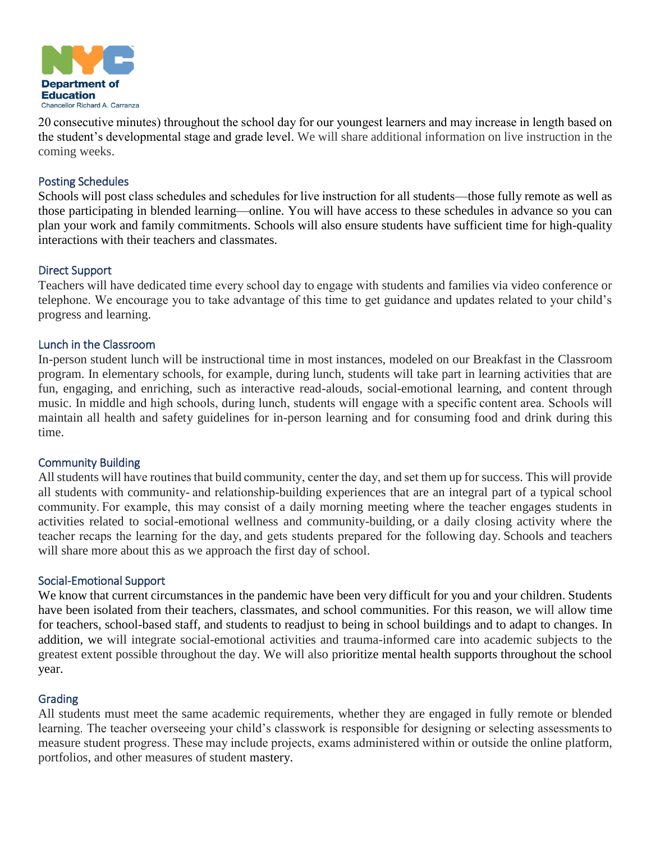

20 consecutive minutes) throughout the school day for our youngest learners and may increase in length based on the student's developmental stage and grade level. We will share additional information on live instruction in the coming weeks.

## Posting Schedules

Schools will post class schedules and schedules for live instruction for all students—those fully remote as well as those participating in blended learning—online. You will have access to these schedules in advance so you can plan your work and family commitments. Schools will also ensure students have sufficient time for high-quality interactions with their teachers and classmates.

#### Direct Support

Teachers will have dedicated time every school day to engage with students and families via video conference or telephone. We encourage you to take advantage of this time to get guidance and updates related to your child's progress and learning.

#### Lunch in the Classroom

In-person student lunch will be instructional time in most instances, modeled on our Breakfast in the Classroom program. In elementary schools, for example, during lunch, students will take part in learning activities that are fun, engaging, and enriching, such as interactive read-alouds, social-emotional learning, and content through music. In middle and high schools, during lunch, students will engage with a specific content area. Schools will maintain all health and safety guidelines for in-person learning and for consuming food and drink during this time.

#### Community Building

All students will have routines that build community, center the day, and set them up for success. This will provide all students with community- and relationship-building experiences that are an integral part of a typical school community. For example, this may consist of a daily morning meeting where the teacher engages students in activities related to social-emotional wellness and community-building, or a daily closing activity where the teacher recaps the learning for the day, and gets students prepared for the following day. Schools and teachers will share more about this as we approach the first day of school.

## Social-Emotional Support

We know that current circumstances in the pandemic have been very difficult for you and your children. Students have been isolated from their teachers, classmates, and school communities. For this reason, we will allow time for teachers, school-based staff, and students to readjust to being in school buildings and to adapt to changes. In addition, we will integrate social-emotional activities and trauma-informed care into academic subjects to the greatest extent possible throughout the day. We will also prioritize mental health supports throughout the school year.

## Grading

All students must meet the same academic requirements, whether they are engaged in fully remote or blended learning. The teacher overseeing your child's classwork is responsible for designing or selecting assessments to measure student progress. These may include projects, exams administered within or outside the online platform, portfolios, and other measures of student mastery.